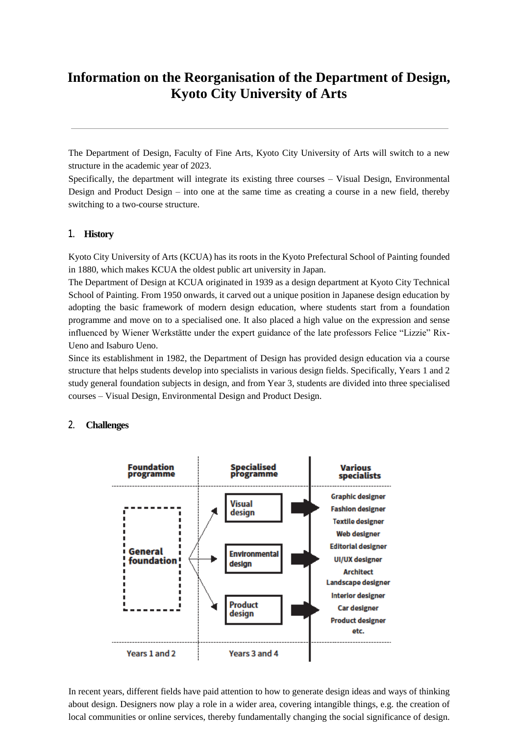# **Information on the Reorganisation of the Department of Design, Kyoto City University of Arts**

The Department of Design, Faculty of Fine Arts, Kyoto City University of Arts will switch to a new structure in the academic year of 2023.

Specifically, the department will integrate its existing three courses – Visual Design, Environmental Design and Product Design – into one at the same time as creating a course in a new field, thereby switching to a two-course structure.

## **1. History**

Kyoto City University of Arts (KCUA) has its roots in the Kyoto Prefectural School of Painting founded in 1880, which makes KCUA the oldest public art university in Japan.

The Department of Design at KCUA originated in 1939 as a design department at Kyoto City Technical School of Painting. From 1950 onwards, it carved out a unique position in Japanese design education by adopting the basic framework of modern design education, where students start from a foundation programme and move on to a specialised one. It also placed a high value on the expression and sense influenced by Wiener Werkstätte under the expert guidance of the late professors Felice "Lizzie" Rix-Ueno and Isaburo Ueno.

Since its establishment in 1982, the Department of Design has provided design education via a course structure that helps students develop into specialists in various design fields. Specifically, Years 1 and 2 study general foundation subjects in design, and from Year 3, students are divided into three specialised courses – Visual Design, Environmental Design and Product Design.

### **2. Challenges**



In recent years, different fields have paid attention to how to generate design ideas and ways of thinking about design. Designers now play a role in a wider area, covering intangible things, e.g. the creation of local communities or online services, thereby fundamentally changing the social significance of design.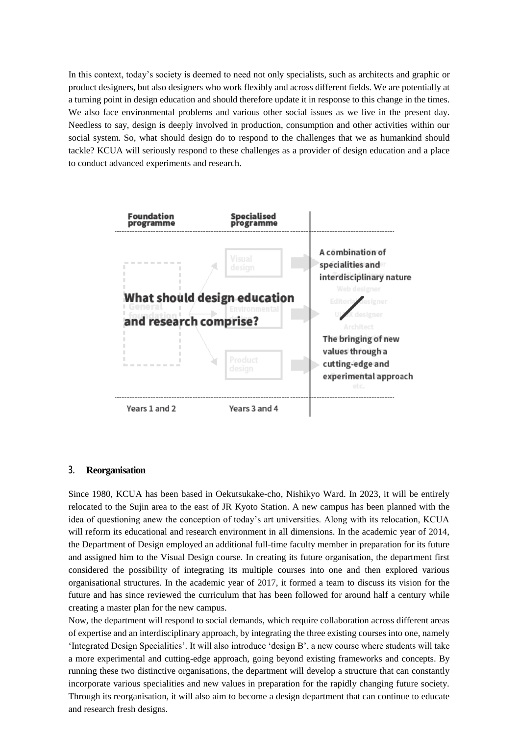In this context, today's society is deemed to need not only specialists, such as architects and graphic or product designers, but also designers who work flexibly and across different fields. We are potentially at a turning point in design education and should therefore update it in response to this change in the times. We also face environmental problems and various other social issues as we live in the present day. Needless to say, design is deeply involved in production, consumption and other activities within our social system. So, what should design do to respond to the challenges that we as humankind should tackle? KCUA will seriously respond to these challenges as a provider of design education and a place to conduct advanced experiments and research.



#### **3. Reorganisation**

Since 1980, KCUA has been based in Oekutsukake-cho, Nishikyo Ward. In 2023, it will be entirely relocated to the Sujin area to the east of JR Kyoto Station. A new campus has been planned with the idea of questioning anew the conception of today's art universities. Along with its relocation, KCUA will reform its educational and research environment in all dimensions. In the academic year of 2014, the Department of Design employed an additional full-time faculty member in preparation for its future and assigned him to the Visual Design course. In creating its future organisation, the department first considered the possibility of integrating its multiple courses into one and then explored various organisational structures. In the academic year of 2017, it formed a team to discuss its vision for the future and has since reviewed the curriculum that has been followed for around half a century while creating a master plan for the new campus.

Now, the department will respond to social demands, which require collaboration across different areas of expertise and an interdisciplinary approach, by integrating the three existing courses into one, namely 'Integrated Design Specialities'. It will also introduce 'design B', a new course where students will take a more experimental and cutting-edge approach, going beyond existing frameworks and concepts. By running these two distinctive organisations, the department will develop a structure that can constantly incorporate various specialities and new values in preparation for the rapidly changing future society. Through its reorganisation, it will also aim to become a design department that can continue to educate and research fresh designs.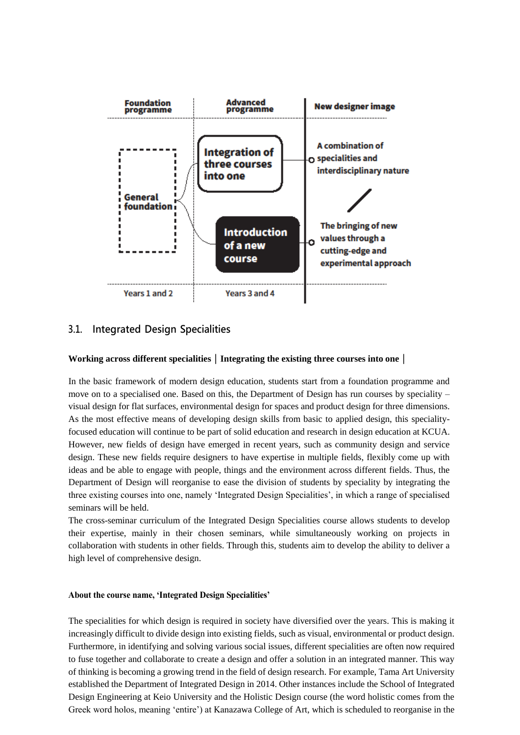

# **3.1. Integrated Design Specialities**

#### **Working across different specialities|Integrating the existing three courses into one|**

In the basic framework of modern design education, students start from a foundation programme and move on to a specialised one. Based on this, the Department of Design has run courses by speciality – visual design for flat surfaces, environmental design for spaces and product design for three dimensions. As the most effective means of developing design skills from basic to applied design, this specialityfocused education will continue to be part of solid education and research in design education at KCUA. However, new fields of design have emerged in recent years, such as community design and service design. These new fields require designers to have expertise in multiple fields, flexibly come up with ideas and be able to engage with people, things and the environment across different fields. Thus, the Department of Design will reorganise to ease the division of students by speciality by integrating the three existing courses into one, namely 'Integrated Design Specialities', in which a range of specialised seminars will be held.

The cross-seminar curriculum of the Integrated Design Specialities course allows students to develop their expertise, mainly in their chosen seminars, while simultaneously working on projects in collaboration with students in other fields. Through this, students aim to develop the ability to deliver a high level of comprehensive design.

#### **About the course name, 'Integrated Design Specialities'**

The specialities for which design is required in society have diversified over the years. This is making it increasingly difficult to divide design into existing fields, such as visual, environmental or product design. Furthermore, in identifying and solving various social issues, different specialities are often now required to fuse together and collaborate to create a design and offer a solution in an integrated manner. This way of thinking is becoming a growing trend in the field of design research. For example, Tama Art University established the Department of Integrated Design in 2014. Other instances include the School of Integrated Design Engineering at Keio University and the Holistic Design course (the word holistic comes from the Greek word holos, meaning 'entire') at Kanazawa College of Art, which is scheduled to reorganise in the